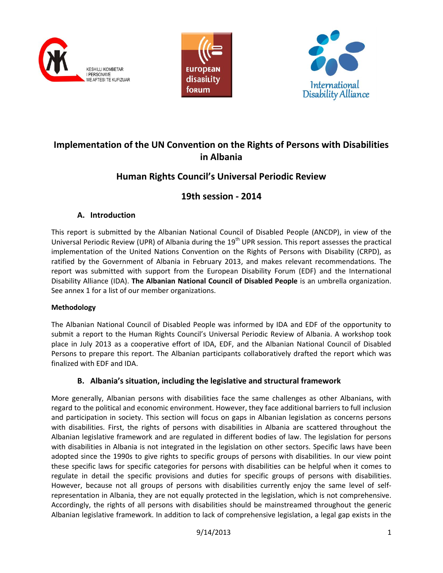





# **Implementation of the UN Convention on the Rights of Persons with Disabilities in Albania**

# **Human Rights Council's Universal Periodic Review**

# **19th session - 2014**

# **A. Introduction**

This report is submitted by the Albanian National Council of Disabled People (ANCDP), in view of the Universal Periodic Review (UPR) of Albania during the 19<sup>th</sup> UPR session. This report assesses the practical implementation of the United Nations Convention on the Rights of Persons with Disability (CRPD), as ratified by the Government of Albania in February 2013, and makes relevant recommendations. The report was submitted with support from the European Disability Forum (EDF) and the International Disability Alliance (IDA). **The Albanian National Council of Disabled People** is an umbrella organization. See annex 1 for a list of our member organizations.

# **Methodology**

The Albanian National Council of Disabled People was informed by IDA and EDF of the opportunity to submit a report to the Human Rights Council's Universal Periodic Review of Albania. A workshop took place in July 2013 as a cooperative effort of IDA, EDF, and the Albanian National Council of Disabled Persons to prepare this report. The Albanian participants collaboratively drafted the report which was finalized with EDF and IDA.

# **B. Albania's situation, including the legislative and structural framework**

More generally, Albanian persons with disabilities face the same challenges as other Albanians, with regard to the political and economic environment. However, they face additional barriers to full inclusion and participation in society. This section will focus on gaps in Albanian legislation as concerns persons with disabilities. First, the rights of persons with disabilities in Albania are scattered throughout the Albanian legislative framework and are regulated in different bodies of law. The legislation for persons with disabilities in Albania is not integrated in the legislation on other sectors. Specific laws have been adopted since the 1990s to give rights to specific groups of persons with disabilities. In our view point these specific laws for specific categories for persons with disabilities can be helpful when it comes to regulate in detail the specific provisions and duties for specific groups of persons with disabilities. However, because not all groups of persons with disabilities currently enjoy the same level of selfrepresentation in Albania, they are not equally protected in the legislation, which is not comprehensive. Accordingly, the rights of all persons with disabilities should be mainstreamed throughout the generic Albanian legislative framework. In addition to lack of comprehensive legislation, a legal gap exists in the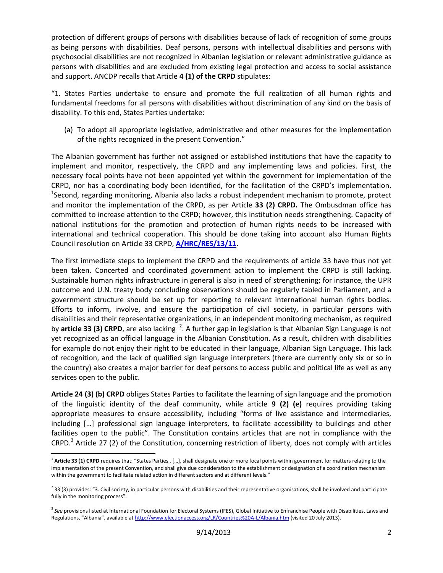protection of different groups of persons with disabilities because of lack of recognition of some groups as being persons with disabilities. Deaf persons, persons with intellectual disabilities and persons with psychosocial disabilities are not recognized in Albanian legislation or relevant administrative guidance as persons with disabilities and are excluded from existing legal protection and access to social assistance and support. ANCDP recalls that Article **4 (1) of the CRPD** stipulates:

"1. States Parties undertake to ensure and promote the full realization of all human rights and fundamental freedoms for all persons with disabilities without discrimination of any kind on the basis of disability. To this end, States Parties undertake:

(a) To adopt all appropriate legislative, administrative and other measures for the implementation of the rights recognized in the present Convention."

The Albanian government has further not assigned or established institutions that have the capacity to implement and monitor, respectively, the CRPD and any implementing laws and policies. First, the necessary focal points have not been appointed yet within the government for implementation of the CRPD, nor has a coordinating body been identified, for the facilitation of the CRPD's implementation. <sup>1</sup>Second, regarding monitoring, Albania also lacks a robust independent mechanism to promote, protect and monitor the implementation of the CRPD, as per Article **33 (2) CRPD.** The Ombusdman office has committed to increase attention to the CRPD; however, this institution needs strengthening. Capacity of national institutions for the promotion and protection of human rights needs to be increased with international and technical cooperation. This should be done taking into account also Human Rights Council resolution on Article 33 CRPD, **[A/HRC/RES/13/11.](http://ap.ohchr.org/documents/sdpage_e.aspx?b=10&se=104&t=11)**

The first immediate steps to implement the CRPD and the requirements of article 33 have thus not yet been taken. Concerted and coordinated government action to implement the CRPD is still lacking. Sustainable human rights infrastructure in general is also in need of strengthening; for instance, the UPR outcome and U.N. treaty body concluding observations should be regularly tabled in Parliament, and a government structure should be set up for reporting to relevant international human rights bodies. Efforts to inform, involve, and ensure the participation of civil society, in particular persons with disabilities and their representative organizations, in an independent monitoring mechanism, as required by article 33 (3) CRPD, are also lacking <sup>2</sup>. A further gap in legislation is that Albanian Sign Language is not yet recognized as an official language in the Albanian Constitution. As a result, children with disabilities for example do not enjoy their right to be educated in their language, Albanian Sign Language. This lack of recognition, and the lack of qualified sign language interpreters (there are currently only six or so in the country) also creates a major barrier for deaf persons to access public and political life as well as any services open to the public.

**Article 24 (3) (b) CRPD** obliges States Parties to facilitate the learning of sign language and the promotion of the linguistic identity of the deaf community, while article **9 (2) (e)** requires providing taking appropriate measures to ensure accessibility, including "forms of live assistance and intermediaries, including […] professional sign language interpreters, to facilitate accessibility to buildings and other facilities open to the public". The Constitution contains articles that are not in compliance with the CRPD.<sup>3</sup> Article 27 (2) of the Constitution, concerning restriction of liberty, does not comply with articles

 $\overline{\phantom{a}}$ 

<sup>&</sup>lt;sup>1</sup> Article 33 (1) CRPD requires that: "States Parties , [...], shall designate one or more focal points within government for matters relating to the implementation of the present Convention, and shall give due consideration to the establishment or designation of a coordination mechanism within the government to facilitate related action in different sectors and at different levels."

 $^2$  33 (3) provides: "3. Civil society, in particular persons with disabilities and their representative organisations, shall be involved and participate fully in the monitoring process".

<sup>&</sup>lt;sup>3</sup> See provisions listed at International Foundation for Electoral Systems (IFES), Global Initiative to Enfranchise People with Disabilities, Laws and Regulations, "Albania", available at <http://www.electionaccess.org/LR/Countries%20A-L/Albania.htm> (visited 20 July 2013).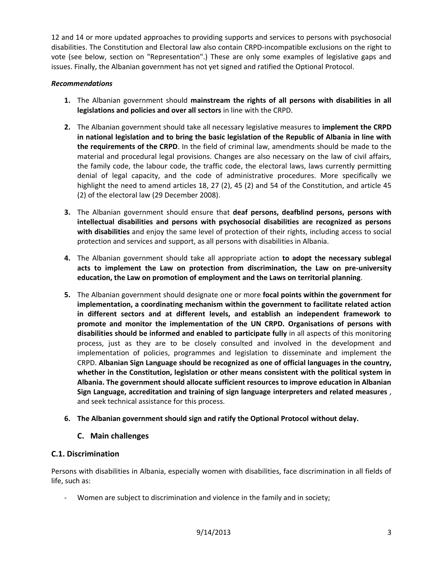12 and 14 or more updated approaches to providing supports and services to persons with psychosocial disabilities. The Constitution and Electoral law also contain CRPD-incompatible exclusions on the right to vote (see below, section on "Representation".) These are only some examples of legislative gaps and issues. Finally, the Albanian government has not yet signed and ratified the Optional Protocol.

### *Recommendations*

- **1.** The Albanian government should **mainstream the rights of all persons with disabilities in all legislations and policies and over all sectors** in line with the CRPD.
- **2.** The Albanian government should take all necessary legislative measures to **implement the CRPD in national legislation and to bring the basic legislation of the Republic of Albania in line with the requirements of the CRPD**. In the field of criminal law, amendments should be made to the material and procedural legal provisions. Changes are also necessary on the law of civil affairs, the family code, the labour code, the traffic code, the electoral laws, laws currently permitting denial of legal capacity, and the code of administrative procedures. More specifically we highlight the need to amend articles 18, 27 (2), 45 (2) and 54 of the Constitution, and article 45 (2) of the electoral law (29 December 2008).
- **3.** The Albanian government should ensure that **deaf persons, deafblind persons, persons with intellectual disabilities and persons with psychosocial disabilities are recognized as persons with disabilities** and enjoy the same level of protection of their rights, including access to social protection and services and support, as all persons with disabilities in Albania.
- **4.** The Albanian government should take all appropriate action **to adopt the necessary sublegal acts to implement the Law on protection from discrimination, the Law on pre-university education, the Law on promotion of employment and the Laws on territorial planning**.
- **5.** The Albanian government should designate one or more **focal points within the government for implementation, a coordinating mechanism within the government to facilitate related action in different sectors and at different levels, and establish an independent framework to promote and monitor the implementation of the UN CRPD. Organisations of persons with disabilities should be informed and enabled to participate fully** in all aspects of this monitoring process, just as they are to be closely consulted and involved in the development and implementation of policies, programmes and legislation to disseminate and implement the CRPD. **Albanian Sign Language should be recognized as one of official languages in the country, whether in the Constitution, legislation or other means consistent with the political system in Albania. The government should allocate sufficient resources to improve education in Albanian Sign Language, accreditation and training of sign language interpreters and related measures** , and seek technical assistance for this process.
- **6. The Albanian government should sign and ratify the Optional Protocol without delay.**

# **C. Main challenges**

# **C.1. Discrimination**

Persons with disabilities in Albania, especially women with disabilities, face discrimination in all fields of life, such as:

Women are subject to discrimination and violence in the family and in society;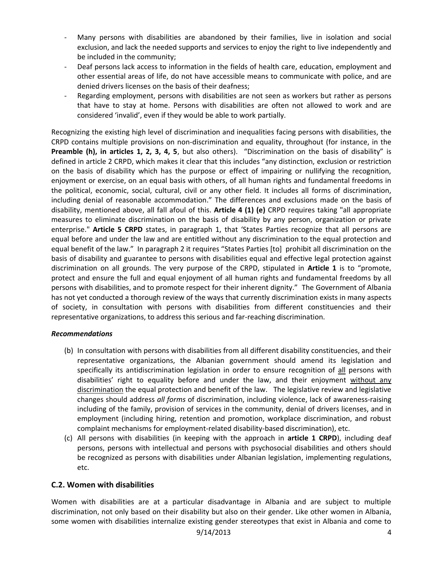- Many persons with disabilities are abandoned by their families, live in isolation and social exclusion, and lack the needed supports and services to enjoy the right to live independently and be included in the community;
- Deaf persons lack access to information in the fields of health care, education, employment and other essential areas of life, do not have accessible means to communicate with police, and are denied drivers licenses on the basis of their deafness;
- Regarding employment, persons with disabilities are not seen as workers but rather as persons that have to stay at home. Persons with disabilities are often not allowed to work and are considered 'invalid', even if they would be able to work partially.

Recognizing the existing high level of discrimination and inequalities facing persons with disabilities, the CRPD contains multiple provisions on non-discrimination and equality, throughout (for instance, in the **Preamble (h), in articles 1, 2, 3, 4, 5**, but also others). "Discrimination on the basis of disability" is defined in article 2 CRPD, which makes it clear that this includes "any distinction, exclusion or restriction on the basis of disability which has the purpose or effect of impairing or nullifying the recognition, enjoyment or exercise, on an equal basis with others, of all human rights and fundamental freedoms in the political, economic, social, cultural, civil or any other field. It includes all forms of discrimination, including denial of reasonable accommodation." The differences and exclusions made on the basis of disability, mentioned above, all fall afoul of this. **Article 4 (1) (e)** CRPD requires taking "all appropriate measures to eliminate discrimination on the basis of disability by any person, organization or private enterprise." **Article 5 CRPD** states, in paragraph 1, that 'States Parties recognize that all persons are equal before and under the law and are entitled without any discrimination to the equal protection and equal benefit of the law." In paragraph 2 it requires "States Parties [to] prohibit all discrimination on the basis of disability and guarantee to persons with disabilities equal and effective legal protection against discrimination on all grounds. The very purpose of the CRPD, stipulated in **Article 1** is to "promote, protect and ensure the full and equal enjoyment of all human rights and fundamental freedoms by all persons with disabilities, and to promote respect for their inherent dignity." The Government of Albania has not yet conducted a thorough review of the ways that currently discrimination exists in many aspects of society, in consultation with persons with disabilities from different constituencies and their representative organizations, to address this serious and far-reaching discrimination.

# *Recommendations*

- (b) In consultation with persons with disabilities from all different disability constituencies, and their representative organizations, the Albanian government should amend its legislation and specifically its antidiscrimination legislation in order to ensure recognition of all persons with disabilities' right to equality before and under the law, and their enjoyment without any discrimination the equal protection and benefit of the law. The legislative review and legislative changes should address *all forms* of discrimination, including violence, lack of awareness-raising including of the family, provision of services in the community, denial of drivers licenses, and in employment (including hiring, retention and promotion, workplace discrimination, and robust complaint mechanisms for employment-related disability-based discrimination), etc.
- (c) All persons with disabilities (in keeping with the approach in **article 1 CRPD**), including deaf persons, persons with intellectual and persons with psychosocial disabilities and others should be recognized as persons with disabilities under Albanian legislation, implementing regulations, etc.

# **C.2. Women with disabilities**

Women with disabilities are at a particular disadvantage in Albania and are subject to multiple discrimination, not only based on their disability but also on their gender. Like other women in Albania, some women with disabilities internalize existing gender stereotypes that exist in Albania and come to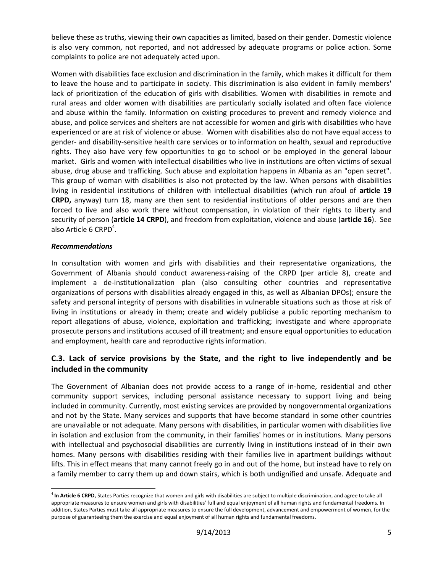believe these as truths, viewing their own capacities as limited, based on their gender. Domestic violence is also very common, not reported, and not addressed by adequate programs or police action. Some complaints to police are not adequately acted upon.

Women with disabilities face exclusion and discrimination in the family, which makes it difficult for them to leave the house and to participate in society. This discrimination is also evident in family members' lack of prioritization of the education of girls with disabilities. Women with disabilities in remote and rural areas and older women with disabilities are particularly socially isolated and often face violence and abuse within the family. Information on existing procedures to prevent and remedy violence and abuse, and police services and shelters are not accessible for women and girls with disabilities who have experienced or are at risk of violence or abuse. Women with disabilities also do not have equal access to gender- and disability-sensitive health care services or to information on health, sexual and reproductive rights. They also have very few opportunities to go to school or be employed in the general labour market. Girls and women with intellectual disabilities who live in institutions are often victims of sexual abuse, drug abuse and trafficking. Such abuse and exploitation happens in Albania as an "open secret". This group of woman with disabilities is also not protected by the law. When persons with disabilities living in residential institutions of children with intellectual disabilities (which run afoul of **article 19 CRPD,** anyway) turn 18, many are then sent to residential institutions of older persons and are then forced to live and also work there without compensation, in violation of their rights to liberty and security of person (**article 14 CRPD**), and freedom from exploitation, violence and abuse (**article 16**). See also Article 6  $CRPD<sup>4</sup>$ .

### *Recommendations*

 $\overline{\phantom{a}}$ 

In consultation with women and girls with disabilities and their representative organizations, the Government of Albania should conduct awareness-raising of the CRPD (per article 8), create and implement a de-institutionalization plan (also consulting other countries and representative organizations of persons with disabilities already engaged in this, as well as Albanian DPOs); ensure the safety and personal integrity of persons with disabilities in vulnerable situations such as those at risk of living in institutions or already in them; create and widely publicise a public reporting mechanism to report allegations of abuse, violence, exploitation and trafficking; investigate and where appropriate prosecute persons and institutions accused of ill treatment; and ensure equal opportunities to education and employment, health care and reproductive rights information.

# **C.3. Lack of service provisions by the State, and the right to live independently and be included in the community**

The Government of Albanian does not provide access to a range of in-home, residential and other community support services, including personal assistance necessary to support living and being included in community. Currently, most existing services are provided by nongovernmental organizations and not by the State. Many services and supports that have become standard in some other countries are unavailable or not adequate. Many persons with disabilities, in particular women with disabilities live in isolation and exclusion from the community, in their families' homes or in institutions. Many persons with intellectual and psychosocial disabilities are currently living in institutions instead of in their own homes. Many persons with disabilities residing with their families live in apartment buildings without lifts. This in effect means that many cannot freely go in and out of the home, but instead have to rely on a family member to carry them up and down stairs, which is both undignified and unsafe. Adequate and

<sup>&</sup>lt;sup>4</sup> In Article 6 CRPD, States Parties recognize that women and girls with disabilities are subject to multiple discrimination, and agree to take all appropriate measures to ensure women and girls with disabilities' full and equal enjoyment of all human rights and fundamental freedoms. In addition, States Parties must take all appropriate measures to ensure the full development, advancement and empowerment of women, for the purpose of guaranteeing them the exercise and equal enjoyment of all human rights and fundamental freedoms.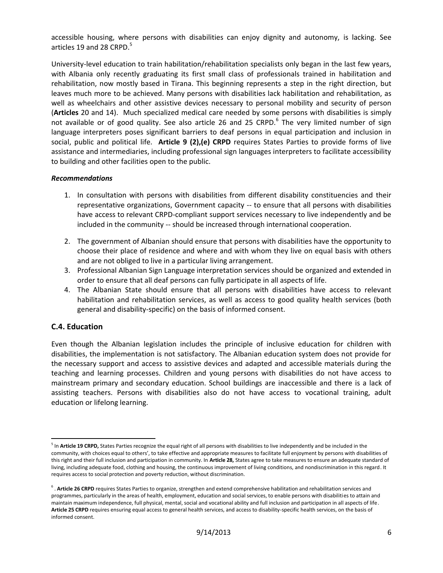accessible housing, where persons with disabilities can enjoy dignity and autonomy, is lacking. See articles 19 and 28 CRPD.<sup>5</sup>

University-level education to train habilitation/rehabilitation specialists only began in the last few years, with Albania only recently graduating its first small class of professionals trained in habilitation and rehabilitation, now mostly based in Tirana. This beginning represents a step in the right direction, but leaves much more to be achieved. Many persons with disabilities lack habilitation and rehabilitation, as well as wheelchairs and other assistive devices necessary to personal mobility and security of person (**Articles** 20 and 14). Much specialized medical care needed by some persons with disabilities is simply not available or of good quality. See also article 26 and 25 CRPD. $^6$  The very limited number of sign language interpreters poses significant barriers to deaf persons in equal participation and inclusion in social, public and political life. **Article 9 (2),(e) CRPD** requires States Parties to provide forms of live assistance and intermediaries, including professional sign languages interpreters to facilitate accessibility to building and other facilities open to the public.

#### *Recommendations*

- 1. In consultation with persons with disabilities from different disability constituencies and their representative organizations, Government capacity -- to ensure that all persons with disabilities have access to relevant CRPD-compliant support services necessary to live independently and be included in the community -- should be increased through international cooperation.
- 2. The government of Albanian should ensure that persons with disabilities have the opportunity to choose their place of residence and where and with whom they live on equal basis with others and are not obliged to live in a particular living arrangement.
- 3. Professional Albanian Sign Language interpretation services should be organized and extended in order to ensure that all deaf persons can fully participate in all aspects of life.
- 4. The Albanian State should ensure that all persons with disabilities have access to relevant habilitation and rehabilitation services, as well as access to good quality health services (both general and disability-specific) on the basis of informed consent.

# **C.4. Education**

 $\overline{\phantom{a}}$ 

Even though the Albanian legislation includes the principle of inclusive education for children with disabilities, the implementation is not satisfactory. The Albanian education system does not provide for the necessary support and access to assistive devices and adapted and accessible materials during the teaching and learning processes. Children and young persons with disabilities do not have access to mainstream primary and secondary education. School buildings are inaccessible and there is a lack of assisting teachers. Persons with disabilities also do not have access to vocational training, adult education or lifelong learning.

<sup>&</sup>lt;sup>5</sup> In Article 19 CRPD, States Parties recognize the equal right of all persons with disabilities to live independently and be included in the community, with choices equal to others', to take effective and appropriate measures to facilitate full enjoyment by persons with disabilities of this right and their full inclusion and participation in community. In **Article 28,** States agree to take measures to ensure an adequate standard of living, including adequate food, clothing and housing, the continuous improvement of living conditions, and nondiscrimination in this regard. It requires access to social protection and poverty reduction, without discrimination.

<sup>&</sup>lt;sup>6</sup>. Article 26 CRPD requires States Parties to organize, strengthen and extend comprehensive habilitation and rehabilitation services and programmes, particularly in the areas of health, employment, education and social services, to enable persons with disabilities to attain and maintain maximum independence, full physical, mental, social and vocational ability and full inclusion and participation in all aspects of life. **Article 25 CRPD** requires ensuring equal access to general health services, and access to disability-specific health services, on the basis of informed consent.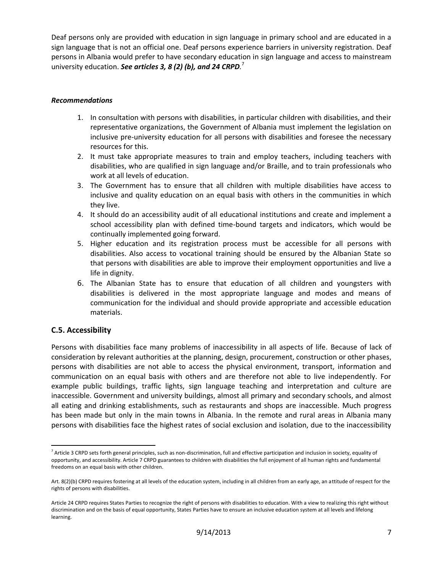Deaf persons only are provided with education in sign language in primary school and are educated in a sign language that is not an official one. Deaf persons experience barriers in university registration. Deaf persons in Albania would prefer to have secondary education in sign language and access to mainstream university education. *See articles 3, 8 (2) (b), and 24 CRPD.* 7

### *Recommendations*

- 1. In consultation with persons with disabilities, in particular children with disabilities, and their representative organizations, the Government of Albania must implement the legislation on inclusive pre-university education for all persons with disabilities and foresee the necessary resources for this.
- 2. It must take appropriate measures to train and employ teachers, including teachers with disabilities, who are qualified in sign language and/or Braille, and to train professionals who work at all levels of education.
- 3. The Government has to ensure that all children with multiple disabilities have access to inclusive and quality education on an equal basis with others in the communities in which they live.
- 4. It should do an accessibility audit of all educational institutions and create and implement a school accessibility plan with defined time-bound targets and indicators, which would be continually implemented going forward.
- 5. Higher education and its registration process must be accessible for all persons with disabilities. Also access to vocational training should be ensured by the Albanian State so that persons with disabilities are able to improve their employment opportunities and live a life in dignity.
- 6. The Albanian State has to ensure that education of all children and youngsters with disabilities is delivered in the most appropriate language and modes and means of communication for the individual and should provide appropriate and accessible education materials.

# **C.5. Accessibility**

Persons with disabilities face many problems of inaccessibility in all aspects of life. Because of lack of consideration by relevant authorities at the planning, design, procurement, construction or other phases, persons with disabilities are not able to access the physical environment, transport, information and communication on an equal basis with others and are therefore not able to live independently. For example public buildings, traffic lights, sign language teaching and interpretation and culture are inaccessible. Government and university buildings, almost all primary and secondary schools, and almost all eating and drinking establishments, such as restaurants and shops are inaccessible. Much progress has been made but only in the main towns in Albania. In the remote and rural areas in Albania many persons with disabilities face the highest rates of social exclusion and isolation, due to the inaccessibility

 $\overline{\phantom{a}}$ <sup>7</sup> Article 3 CRPD sets forth general principles, such as non-discrimination, full and effective participation and inclusion in society, equality of opportunity, and accessibility. Article 7 CRPD guarantees to children with disabilities the full enjoyment of all human rights and fundamental freedoms on an equal basis with other children.

Art. 8(2)(b) CRPD requires fostering at all levels of the education system, including in all children from an early age, an attitude of respect for the rights of persons with disabilities.

Article 24 CRPD requires States Parties to recognize the right of persons with disabilities to education. With a view to realizing this right without discrimination and on the basis of equal opportunity, States Parties have to ensure an inclusive education system at all levels and lifelong learning.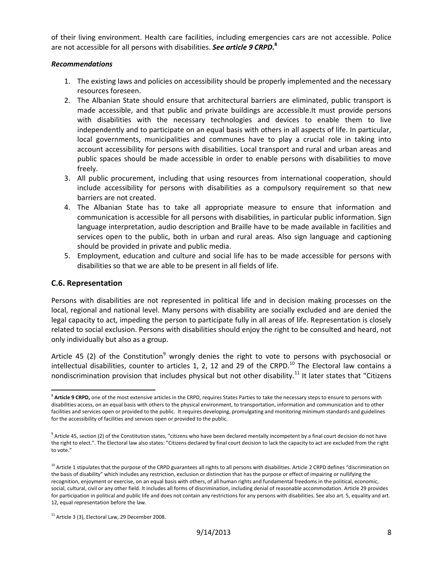of their living environment. Health care facilities, including emergencies cars are not accessible. Police are not accessible for all persons with disabilities. *See article 9 CRPD.***<sup>8</sup>**

#### *Recommendations*

- 1. The existing laws and policies on accessibility should be properly implemented and the necessary resources foreseen.
- 2. The Albanian State should ensure that architectural barriers are eliminated, public transport is made accessible, and that public and private buildings are accessible.It must provide persons with disabilities with the necessary technologies and devices to enable them to live independently and to participate on an equal basis with others in all aspects of life. In particular, local governments, municipalities and communes have to play a crucial role in taking into account accessibility for persons with disabilities. Local transport and rural and urban areas and public spaces should be made accessible in order to enable persons with disabilities to move freely.
- 3. All public procurement, including that using resources from international cooperation, should include accessibility for persons with disabilities as a compulsory requirement so that new barriers are not created.
- 4. The Albanian State has to take all appropriate measure to ensure that information and communication is accessible for all persons with disabilities, in particular public information. Sign language interpretation, audio description and Braille have to be made available in facilities and services open to the public, both in urban and rural areas. Also sign language and captioning should be provided in private and public media.
- 5. Employment, education and culture and social life has to be made accessible for persons with disabilities so that we are able to be present in all fields of life.

#### **C.6. Representation**

Persons with disabilities are not represented in political life and in decision making processes on the local, regional and national level. Many persons with disability are socially excluded and are denied the legal capacity to act, impeding the person to participate fully in all areas of life. Representation is closely related to social exclusion. Persons with disabilities should enjoy the right to be consulted and heard, not only individually but also as a group.

Article 45 (2) of the Constitution<sup>9</sup> wrongly denies the right to vote to persons with psychosocial or intellectual disabilities, counter to articles 1, 2, 12 and 29 of the CRPD.<sup>10</sup> The Electoral law contains a nondiscrimination provision that includes physical but not other disability.<sup>11</sup> It later states that "Citizens

l <sup>8</sup> Article 9 CRPD, one of the most extensive articles in the CRPD, requires States Parties to take the necessary steps to ensure to persons with disabilities access, on an equal basis with others to the physical environment, to transportation, information and communication and to other facilities and services open or provided to the public. It requires developing, promulgating and monitoring minimum standards and guidelines for the accessibility of facilities and services open or provided to the public.

 $^9$  Article 45, section (2) of the Constitution states, "citizens who have been declared mentally incompetent by a final court decision do not have the right to elect.". The Electoral law also states: "Citizens declared by final court decision to lack the capacity to act are excluded from the right to vote."

<sup>&</sup>lt;sup>10</sup> Article 1 stipulates that the purpose of the CRPD guarantees all rights to all persons with disabilities. Article 2 CRPD defines "discrimination on the basis of disability" which includes any restriction, exclusion or distinction that has the purpose or effect of impairing or nullifying the recognition, enjoyment or exercise, on an equal basis with others, of all human rights and fundamental freedoms in the political, economic, social, cultural, civil or any other field. It includes all forms of discrimination, including denial of reasonable accommodation. Article 29 provides for participation in political and public life and does not contain any restrictions for any persons with disabilities. See also art. 5, equality and art. 12, equal representation before the law.

 $11$  Article 3 (3), Electoral Law, 29 December 2008.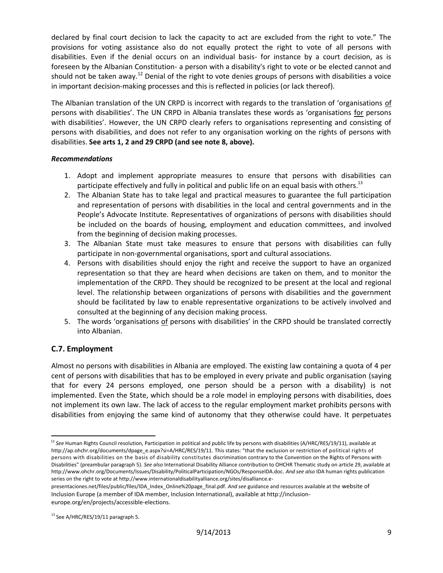declared by final court decision to lack the capacity to act are excluded from the right to vote." The provisions for voting assistance also do not equally protect the right to vote of all persons with disabilities. Even if the denial occurs on an individual basis- for instance by a court decision, as is foreseen by the Albanian Constitution- a person with a disability's right to vote or be elected cannot and should not be taken away.<sup>12</sup> Denial of the right to vote denies groups of persons with disabilities a voice in important decision-making processes and this is reflected in policies (or lack thereof).

The Albanian translation of the UN CRPD is incorrect with regards to the translation of 'organisations of persons with disabilities'. The UN CRPD in Albania translates these words as 'organisations for persons with disabilities'. However, the UN CRPD clearly refers to organisations representing and consisting of persons with disabilities, and does not refer to any organisation working on the rights of persons with disabilities. **See arts 1, 2 and 29 CRPD (and see note 8, above).**

### *Recommendations*

- 1. Adopt and implement appropriate measures to ensure that persons with disabilities can participate effectively and fully in political and public life on an equal basis with others.<sup>13</sup>
- 2. The Albanian State has to take legal and practical measures to guarantee the full participation and representation of persons with disabilities in the local and central governments and in the People's Advocate Institute. Representatives of organizations of persons with disabilities should be included on the boards of housing, employment and education committees, and involved from the beginning of decision making processes.
- 3. The Albanian State must take measures to ensure that persons with disabilities can fully participate in non-governmental organisations, sport and cultural associations.
- 4. Persons with disabilities should enjoy the right and receive the support to have an organized representation so that they are heard when decisions are taken on them, and to monitor the implementation of the CRPD. They should be recognized to be present at the local and regional level. The relationship between organizations of persons with disabilities and the government should be facilitated by law to enable representative organizations to be actively involved and consulted at the beginning of any decision making process.
- 5. The words 'organisations of persons with disabilities' in the CRPD should be translated correctly into Albanian.

# **C.7. Employment**

Almost no persons with disabilities in Albania are employed. The existing law containing a quota of 4 per cent of persons with disabilities that has to be employed in every private and public organisation (saying that for every 24 persons employed, one person should be a person with a disability) is not implemented. Even the State, which should be a role model in employing persons with disabilities, does not implement its own law. The lack of access to the regular employment market prohibits persons with disabilities from enjoying the same kind of autonomy that they otherwise could have. It perpetuates

l <sup>12</sup> See Human Rights Council resolution, Participation in political and public life by persons with disabilities (A/HRC/RES/19/11), available at http://ap.ohchr.org/documents/dpage\_e.aspx?si=A/HRC/RES/19/11. This states: "that the exclusion or restriction of political rights of persons with disabilities on the basis of disability constitutes discrimination contrary to the Convention on the Rights of Persons with Disabilities" (preambular paragraph 5). *See also* International Disability Alliance contribution to OHCHR Thematic study on article 29, available at http://www.ohchr.org/Documents/Issues/Disability/PoliticalParticipation/NGOs/ResponseIDA.doc. *And see also* IDA human rights publication series on the right to vote at http://www.internationaldisabilityalliance.org/sites/disalliance.e-

presentaciones.net/files/public/files/IDA\_Index\_Online%20page\_final.pdf. *And see* guidance and resources available at the website of Inclusion Europe (a member of IDA member, Inclusion International), available at http://inclusioneurope.org/en/projects/accessible-elections.

<sup>&</sup>lt;sup>13</sup> See A/HRC/RES/19/11 paragraph 5.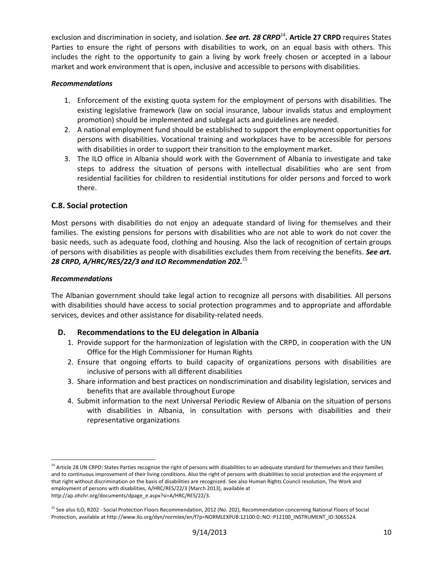exclusion and discrimination in society, and isolation. See art. 28 CRPD<sup>14</sup>. Article 27 CRPD requires States Parties to ensure the right of persons with disabilities to work, on an equal basis with others. This includes the right to the opportunity to gain a living by work freely chosen or accepted in a labour market and work environment that is open, inclusive and accessible to persons with disabilities.

### *Recommendations*

- 1. Enforcement of the existing quota system for the employment of persons with disabilities. The existing legislative framework (law on social insurance, labour invalids status and employment promotion) should be implemented and sublegal acts and guidelines are needed.
- 2. A national employment fund should be established to support the employment opportunities for persons with disabilities. Vocational training and workplaces have to be accessible for persons with disabilities in order to support their transition to the employment market.
- 3. The ILO office in Albania should work with the Government of Albania to investigate and take steps to address the situation of persons with intellectual disabilities who are sent from residential facilities for children to residential institutions for older persons and forced to work there.

# **C.8. Social protection**

Most persons with disabilities do not enjoy an adequate standard of living for themselves and their families. The existing pensions for persons with disabilities who are not able to work do not cover the basic needs, such as adequate food, clothing and housing. Also the lack of recognition of certain groups of persons with disabilities as people with disabilities excludes them from receiving the benefits. *See art. 28 CRPD, A/HRC/RES/22/3 and ILO Recommendation 202.* 15

### *Recommendations*

l

The Albanian government should take legal action to recognize all persons with disabilities. All persons with disabilities should have access to social protection programmes and to appropriate and affordable services, devices and other assistance for disability-related needs.

# **D. Recommendations to the EU delegation in Albania**

- 1. Provide support for the harmonization of legislation with the CRPD, in cooperation with the UN Office for the High Commissioner for Human Rights
- 2. Ensure that ongoing efforts to build capacity of organizations persons with disabilities are inclusive of persons with all different disabilities
- 3. Share information and best practices on nondiscrimination and disability legislation, services and benefits that are available throughout Europe
- 4. Submit information to the next Universal Periodic Review of Albania on the situation of persons with disabilities in Albania, in consultation with persons with disabilities and their representative organizations

<sup>&</sup>lt;sup>14</sup> Article 28 UN CRPD: States Parties recognize the right of persons with disabilities to an adequate standard for themselves and their families and to continuous improvement of their living conditions. Also the right of persons with disabilities to social protection and the enjoyment of that right without discrimination on the basis of disabilities are recognized. See also Human Rights Council resolution, The Work and employment of persons with disabilities, A/HRC/RES/22/3 [March 2013], available at http://ap.ohchr.org/documents/dpage\_e.aspx?si=A/HRC/RES/22/3.

<sup>&</sup>lt;sup>15</sup> See also ILO, R202 - Social Protection Floors Recommendation, 2012 (No. 202), Recommendation concerning National Floors of Social Protection, available at http://www.ilo.org/dyn/normlex/en/f?p=NORMLEXPUB:12100:0::NO::P12100\_INSTRUMENT\_ID:3065524.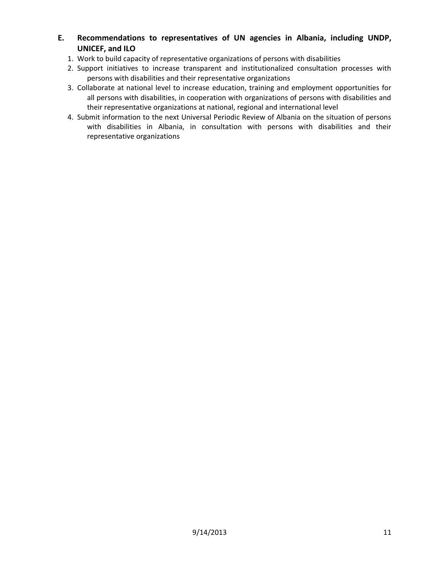- **E. Recommendations to representatives of UN agencies in Albania, including UNDP, UNICEF, and ILO**
	- 1. Work to build capacity of representative organizations of persons with disabilities
	- 2. Support initiatives to increase transparent and institutionalized consultation processes with persons with disabilities and their representative organizations
	- 3. Collaborate at national level to increase education, training and employment opportunities for all persons with disabilities, in cooperation with organizations of persons with disabilities and their representative organizations at national, regional and international level
	- 4. Submit information to the next Universal Periodic Review of Albania on the situation of persons with disabilities in Albania, in consultation with persons with disabilities and their representative organizations